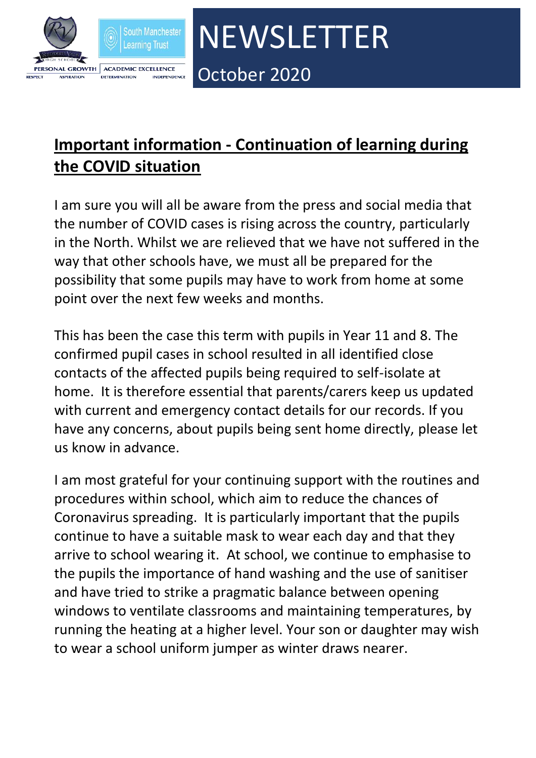

NEWSLETTER

# **Important information - Continuation of learning during the COVID situation**

October 2020

I am sure you will all be aware from the press and social media that the number of COVID cases is rising across the country, particularly in the North. Whilst we are relieved that we have not suffered in the way that other schools have, we must all be prepared for the possibility that some pupils may have to work from home at some point over the next few weeks and months.

This has been the case this term with pupils in Year 11 and 8. The confirmed pupil cases in school resulted in all identified close contacts of the affected pupils being required to self-isolate at home. It is therefore essential that parents/carers keep us updated with current and emergency contact details for our records. If you have any concerns, about pupils being sent home directly, please let us know in advance.

I am most grateful for your continuing support with the routines and procedures within school, which aim to reduce the chances of Coronavirus spreading. It is particularly important that the pupils continue to have a suitable mask to wear each day and that they arrive to school wearing it. At school, we continue to emphasise to the pupils the importance of hand washing and the use of sanitiser and have tried to strike a pragmatic balance between opening windows to ventilate classrooms and maintaining temperatures, by running the heating at a higher level. Your son or daughter may wish to wear a school uniform jumper as winter draws nearer.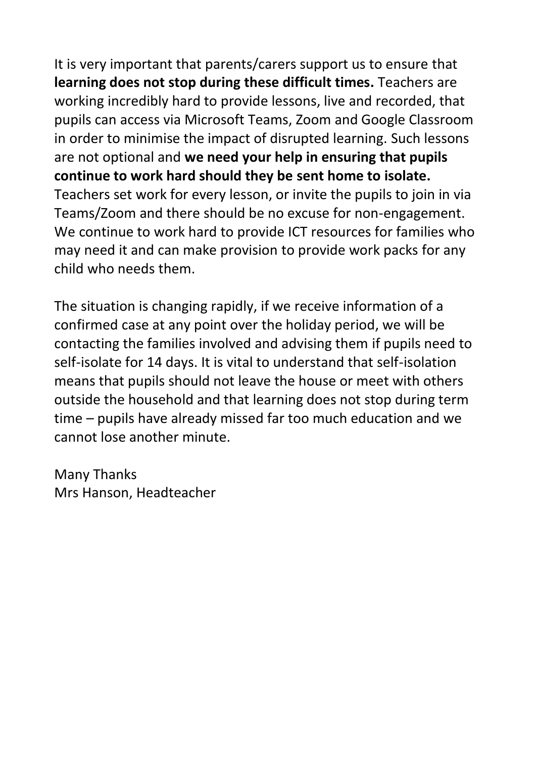It is very important that parents/carers support us to ensure that **learning does not stop during these difficult times.** Teachers are working incredibly hard to provide lessons, live and recorded, that pupils can access via Microsoft Teams, Zoom and Google Classroom in order to minimise the impact of disrupted learning. Such lessons are not optional and **we need your help in ensuring that pupils continue to work hard should they be sent home to isolate.** Teachers set work for every lesson, or invite the pupils to join in via Teams/Zoom and there should be no excuse for non-engagement. We continue to work hard to provide ICT resources for families who may need it and can make provision to provide work packs for any child who needs them.

The situation is changing rapidly, if we receive information of a confirmed case at any point over the holiday period, we will be contacting the families involved and advising them if pupils need to self-isolate for 14 days. It is vital to understand that self-isolation means that pupils should not leave the house or meet with others outside the household and that learning does not stop during term time – pupils have already missed far too much education and we cannot lose another minute.

Many Thanks Mrs Hanson, Headteacher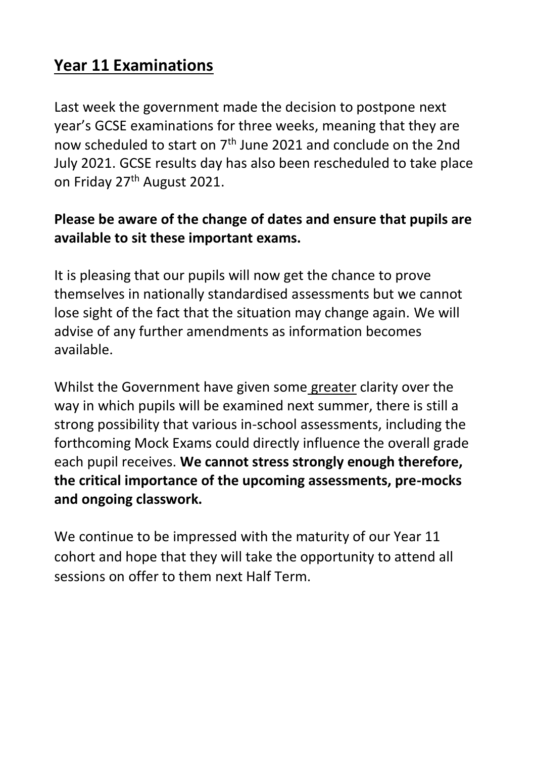### **Year 11 Examinations**

Last week the government made the decision to postpone next year's GCSE examinations for three weeks, meaning that they are now scheduled to start on 7<sup>th</sup> June 2021 and conclude on the 2nd July 2021. GCSE results day has also been rescheduled to take place on Friday 27<sup>th</sup> August 2021.

#### **Please be aware of the change of dates and ensure that pupils are available to sit these important exams.**

It is pleasing that our pupils will now get the chance to prove themselves in nationally standardised assessments but we cannot lose sight of the fact that the situation may change again. We will advise of any further amendments as information becomes available.

Whilst the Government have given some greater clarity over the way in which pupils will be examined next summer, there is still a strong possibility that various in-school assessments, including the forthcoming Mock Exams could directly influence the overall grade each pupil receives. **We cannot stress strongly enough therefore, the critical importance of the upcoming assessments, pre-mocks and ongoing classwork.** 

We continue to be impressed with the maturity of our Year 11 cohort and hope that they will take the opportunity to attend all sessions on offer to them next Half Term.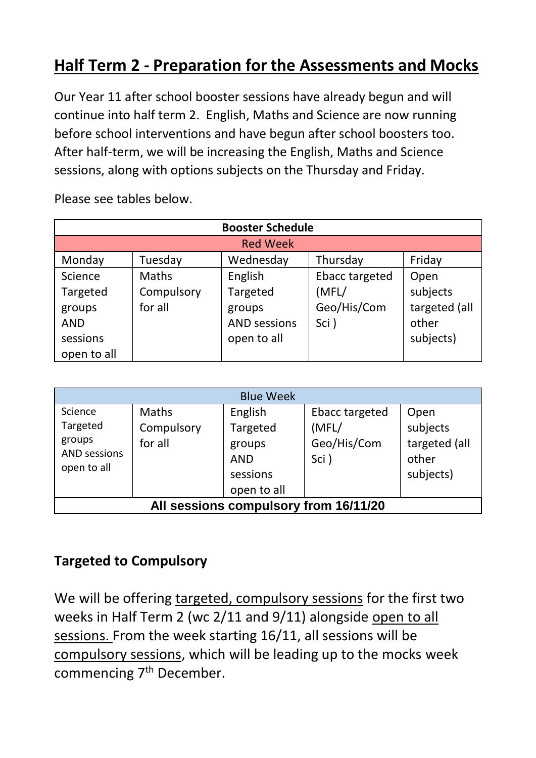### **Half Term 2 - Preparation for the Assessments and Mocks**

Our Year 11 after school booster sessions have already begun and will continue into half term 2. English, Maths and Science are now running before school interventions and have begun after school boosters too. After half-term, we will be increasing the English, Maths and Science sessions, along with options subjects on the Thursday and Friday.

Please see tables below.

| <b>Booster Schedule</b> |            |                     |                |               |
|-------------------------|------------|---------------------|----------------|---------------|
| <b>Red Week</b>         |            |                     |                |               |
| Monday                  | Tuesday    | Wednesday           | Thursday       | Friday        |
| Science                 | Maths      | English             | Ebacc targeted | Open          |
| Targeted                | Compulsory | Targeted            | (MFL/          | subjects      |
| groups                  | for all    | groups              | Geo/His/Com    | targeted (all |
| <b>AND</b>              |            | <b>AND sessions</b> | Sci)           | other         |
| sessions                |            | open to all         |                | subjects)     |
| open to all             |            |                     |                |               |

| <b>Blue Week</b>                                                    |                                |                                                                        |                                                |                                                         |
|---------------------------------------------------------------------|--------------------------------|------------------------------------------------------------------------|------------------------------------------------|---------------------------------------------------------|
| Science<br>Targeted<br>groups<br><b>AND sessions</b><br>open to all | Maths<br>Compulsory<br>for all | English<br>Targeted<br>groups<br><b>AND</b><br>sessions<br>open to all | Ebacc targeted<br>(MFL/<br>Geo/His/Com<br>Sci) | Open<br>subjects<br>targeted (all<br>other<br>subjects) |
| All sessions compulsory from 16/11/20                               |                                |                                                                        |                                                |                                                         |

#### **Targeted to Compulsory**

We will be offering targeted, compulsory sessions for the first two weeks in Half Term 2 (wc 2/11 and 9/11) alongside open to all sessions. From the week starting 16/11, all sessions will be compulsory sessions, which will be leading up to the mocks week commencing 7<sup>th</sup> December.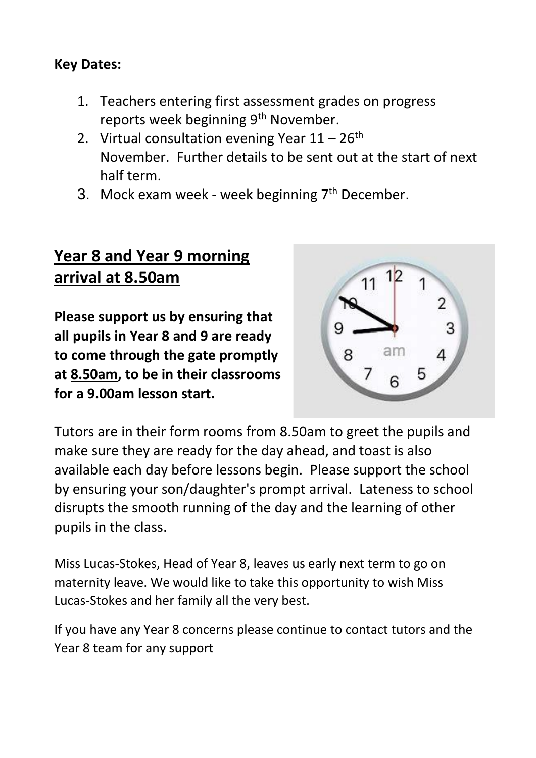#### **Key Dates:**

- 1. Teachers entering first assessment grades on progress reports week beginning 9<sup>th</sup> November.
- 2. Virtual consultation evening Year  $11 26$ <sup>th</sup> November. Further details to be sent out at the start of next half term.
- 3. Mock exam week week beginning 7<sup>th</sup> December.

### **Year 8 and Year 9 morning arrival at 8.50am**

**Please support us by ensuring that all pupils in Year 8 and 9 are ready to come through the gate promptly at 8.50am, to be in their classrooms for a 9.00am lesson start.** 



Tutors are in their form rooms from 8.50am to greet the pupils and make sure they are ready for the day ahead, and toast is also available each day before lessons begin. Please support the school by ensuring your son/daughter's prompt arrival. Lateness to school disrupts the smooth running of the day and the learning of other pupils in the class.

Miss Lucas-Stokes, Head of Year 8, leaves us early next term to go on maternity leave. We would like to take this opportunity to wish Miss Lucas-Stokes and her family all the very best.

If you have any Year 8 concerns please continue to contact tutors and the Year 8 team for any support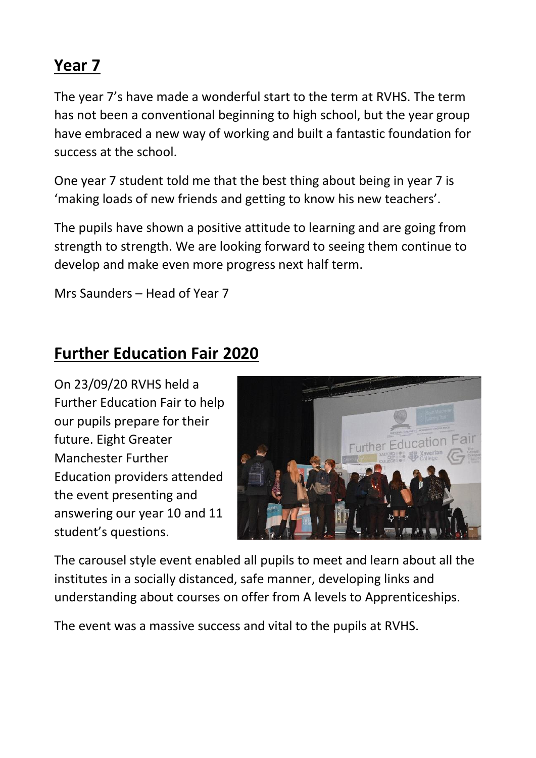### **Year 7**

The year 7's have made a wonderful start to the term at RVHS. The term has not been a conventional beginning to high school, but the year group have embraced a new way of working and built a fantastic foundation for success at the school.

One year 7 student told me that the best thing about being in year 7 is 'making loads of new friends and getting to know his new teachers'.

The pupils have shown a positive attitude to learning and are going from strength to strength. We are looking forward to seeing them continue to develop and make even more progress next half term.

Mrs Saunders – Head of Year 7

#### **Further Education Fair 2020**

On 23/09/20 RVHS held a Further Education Fair to help our pupils prepare for their future. Eight Greater Manchester Further Education providers attended the event presenting and answering our year 10 and 11 student's questions.



The carousel style event enabled all pupils to meet and learn about all the institutes in a socially distanced, safe manner, developing links and understanding about courses on offer from A levels to Apprenticeships.

The event was a massive success and vital to the pupils at RVHS.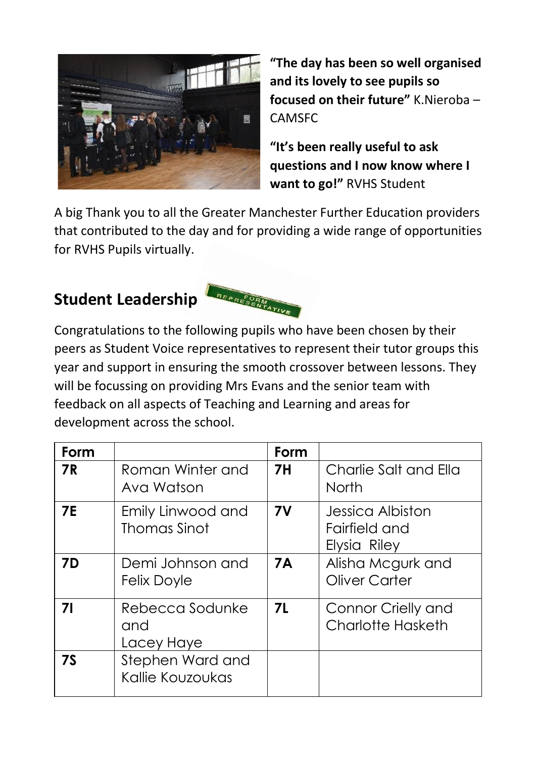

**"The day has been so well organised and its lovely to see pupils so focused on their future"** K.Nieroba – CAMSFC

**"It's been really useful to ask questions and I now know where I want to go!"** RVHS Student

A big Thank you to all the Greater Manchester Further Education providers that contributed to the day and for providing a wide range of opportunities for RVHS Pupils virtually.

### **Student Leadership**



Congratulations to the following pupils who have been chosen by their peers as Student Voice representatives to represent their tutor groups this year and support in ensuring the smooth crossover between lessons. They will be focussing on providing Mrs Evans and the senior team with feedback on all aspects of Teaching and Learning and areas for development across the school.

| Form      |                                      | Form      |                                                   |
|-----------|--------------------------------------|-----------|---------------------------------------------------|
| <b>7R</b> | Roman Winter and<br>Ava Watson       | <b>7H</b> | Charlie Salt and Ella<br>North                    |
| <b>7E</b> | Emily Linwood and<br>Thomas Sinot    | 7V        | Jessica Albiston<br>Fairfield and<br>Elysia Riley |
| <b>7D</b> | Demi Johnson and<br>Felix Doyle      | <b>7A</b> | Alisha Mcgurk and<br>Oliver Carter                |
| 71        | Rebecca Sodunke<br>and<br>Lacey Haye | <b>7L</b> | Connor Crielly and<br><b>Charlotte Hasketh</b>    |
| <b>7S</b> | Stephen Ward and<br>Kallie Kouzoukas |           |                                                   |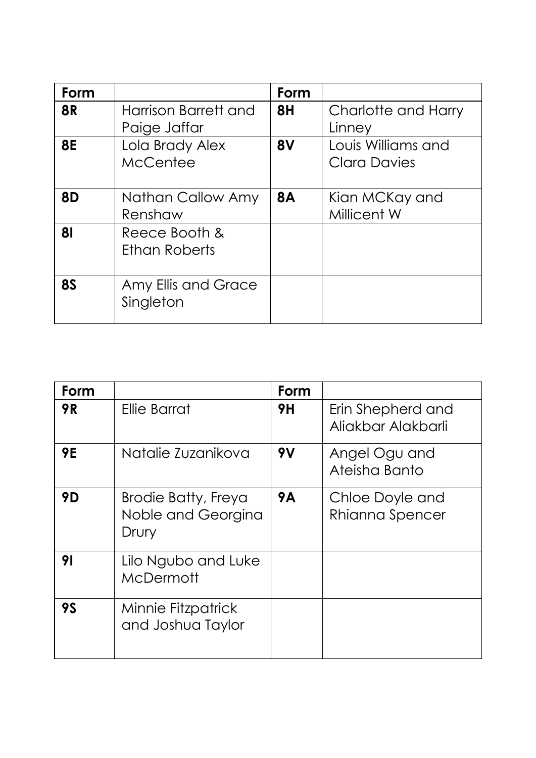| Form      |                                      | Form      |                                           |
|-----------|--------------------------------------|-----------|-------------------------------------------|
| <b>8R</b> | Harrison Barrett and<br>Paige Jaffar | 8H        | Charlotte and Harry<br>Linney             |
| 8E        | Lola Brady Alex<br>McCentee          | 8V        | Louis Williams and<br><b>Clara Davies</b> |
| <b>8D</b> | Nathan Callow Amy<br>Renshaw         | <b>8A</b> | Kian MCKay and<br>Millicent W             |
| 81        | Reece Booth &<br>Ethan Roberts       |           |                                           |
| <b>8S</b> | Amy Ellis and Grace<br>Singleton     |           |                                           |

| Form      |                                                    | Form      |                                         |
|-----------|----------------------------------------------------|-----------|-----------------------------------------|
| <b>9R</b> | Ellie Barrat                                       | <b>9H</b> | Erin Shepherd and<br>Aliakbar Alakbarli |
| <b>9E</b> | Natalie Zuzanikova                                 | 9V        | Angel Ogu and<br>Ateisha Banto          |
| 9D        | Brodie Batty, Freya<br>Noble and Georgina<br>Drury | <b>9A</b> | Chloe Doyle and<br>Rhianna Spencer      |
| 91        | Lilo Ngubo and Luke<br><b>McDermott</b>            |           |                                         |
| 95        | Minnie Fitzpatrick<br>and Joshua Taylor            |           |                                         |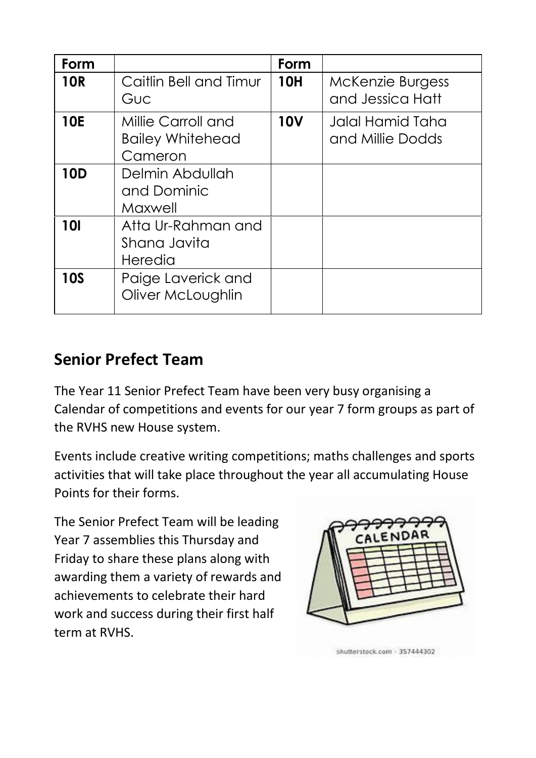| Form       |                                                          | Form       |                                      |
|------------|----------------------------------------------------------|------------|--------------------------------------|
| <b>10R</b> | Caitlin Bell and Timur<br>Guc                            | <b>10H</b> | McKenzie Burgess<br>and Jessica Hatt |
| <b>10E</b> | Millie Carroll and<br><b>Bailey Whitehead</b><br>Cameron | <b>10V</b> | Jalal Hamid Taha<br>and Millie Dodds |
| 10D        | Delmin Abdullah<br>and Dominic<br>Maxwell                |            |                                      |
| <b>10I</b> | Atta Ur-Rahman and<br>Shana Javita<br>Heredia            |            |                                      |
| <b>10S</b> | Paige Laverick and<br>Oliver McLoughlin                  |            |                                      |

### **Senior Prefect Team**

The Year 11 Senior Prefect Team have been very busy organising a Calendar of competitions and events for our year 7 form groups as part of the RVHS new House system.

Events include creative writing competitions; maths challenges and sports activities that will take place throughout the year all accumulating House Points for their forms.

The Senior Prefect Team will be leading Year 7 assemblies this Thursday and Friday to share these plans along with awarding them a variety of rewards and achievements to celebrate their hard work and success during their first half term at RVHS.



shutterstock.com - 357444302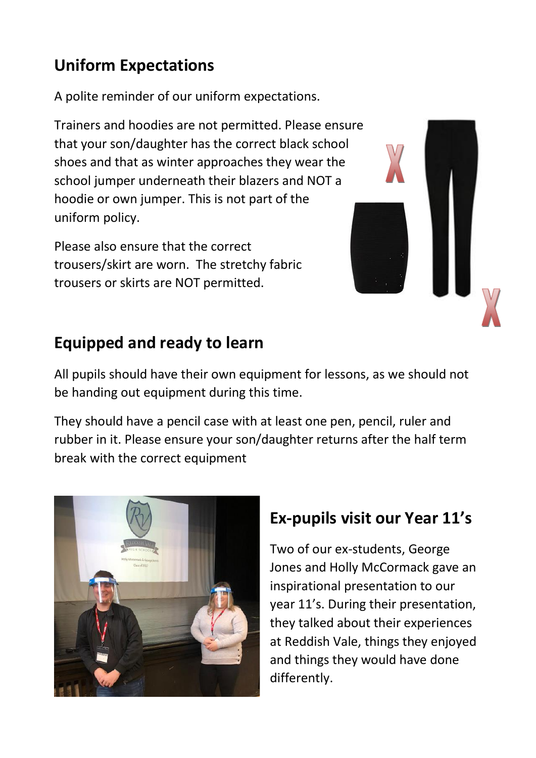# **Uniform Expectations**

A polite reminder of our uniform expectations.

Trainers and hoodies are not permitted. Please ensure that your son/daughter has the correct black school shoes and that as winter approaches they wear the school jumper underneath their blazers and NOT a hoodie or own jumper. This is not part of the uniform policy.

Please also ensure that the correct trousers/skirt are worn. The stretchy fabric trousers or skirts are NOT permitted.

## **Equipped and ready to learn**

All pupils should have their own equipment for lessons, as we should not be handing out equipment during this time.

They should have a pencil case with at least one pen, pencil, ruler and rubber in it. Please ensure your son/daughter returns after the half term break with the correct equipment



# **Ex-pupils visit our Year 11's**

Two of our ex-students, George Jones and Holly McCormack gave an inspirational presentation to our year 11's. During their presentation, they talked about their experiences at Reddish Vale, things they enjoyed and things they would have done differently.